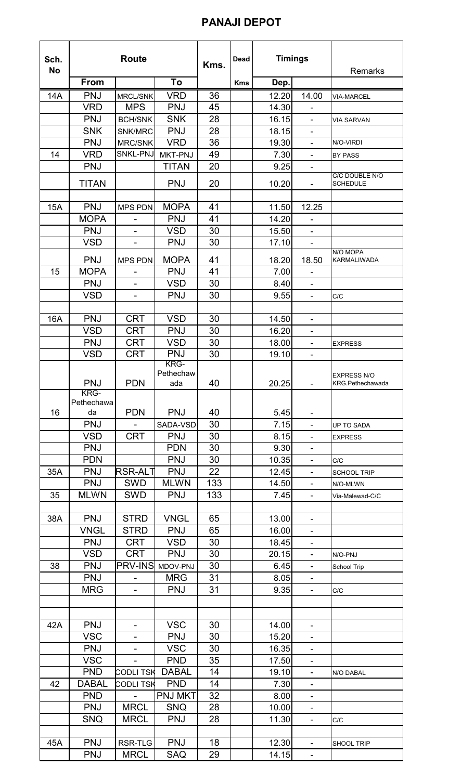## **PANAJI DEPOT**

| Sch.<br><b>No</b> | <b>Route</b> |                          | Kms.             | Dead | <b>Timings</b> |                | Remarks                      |                                               |
|-------------------|--------------|--------------------------|------------------|------|----------------|----------------|------------------------------|-----------------------------------------------|
|                   | <b>From</b>  |                          | To               |      | <b>Kms</b>     | Dep.           |                              |                                               |
| 14A               | <b>PNJ</b>   | <b>MRCL/SNK</b>          | <b>VRD</b>       | 36   |                | 12.20          | 14.00                        | <b>VIA-MARCEL</b>                             |
|                   | <b>VRD</b>   | <b>MPS</b>               | <b>PNJ</b>       | 45   |                | 14.30          |                              |                                               |
|                   | <b>PNJ</b>   | <b>BCH/SNK</b>           | <b>SNK</b>       | 28   |                | 16.15          | $\blacksquare$               | <b>VIA SARVAN</b>                             |
|                   | <b>SNK</b>   | SNK/MRC                  | <b>PNJ</b>       | 28   |                | 18.15          |                              |                                               |
|                   | <b>PNJ</b>   | <b>MRC/SNK</b>           | <b>VRD</b>       | 36   |                | 19.30          | $\blacksquare$               | N/O-VIRDI                                     |
| 14                | <b>VRD</b>   | SNKL-PNJ                 | MKT-PNJ          | 49   |                | 7.30           | ۰                            | <b>BY PASS</b>                                |
|                   | <b>PNJ</b>   |                          | <b>TITAN</b>     | 20   |                | 9.25           |                              |                                               |
|                   |              |                          |                  |      |                |                |                              | C/C DOUBLE N/O                                |
|                   | <b>TITAN</b> |                          | <b>PNJ</b>       | 20   |                | 10.20          | $\blacksquare$               | <b>SCHEDULE</b>                               |
| <b>15A</b>        | <b>PNJ</b>   | <b>MPS PDN</b>           | <b>MOPA</b>      | 41   |                |                | 12.25                        |                                               |
|                   | <b>MOPA</b>  |                          | <b>PNJ</b>       | 41   |                | 11.50<br>14.20 |                              |                                               |
|                   | <b>PNJ</b>   |                          | <b>VSD</b>       | 30   |                | 15.50          |                              |                                               |
|                   | <b>VSD</b>   |                          | <b>PNJ</b>       | 30   |                | 17.10          |                              |                                               |
|                   |              |                          |                  |      |                |                |                              | N/O MOPA                                      |
|                   | <b>PNJ</b>   | <b>MPS PDN</b>           | <b>MOPA</b>      | 41   |                | 18.20          | 18.50                        | <b>KARMALIWADA</b>                            |
| 15                | <b>MOPA</b>  |                          | <b>PNJ</b>       | 41   |                | 7.00           |                              |                                               |
|                   | <b>PNJ</b>   |                          | <b>VSD</b>       | 30   |                | 8.40           |                              |                                               |
|                   | <b>VSD</b>   | $\blacksquare$           | <b>PNJ</b>       | 30   |                | 9.55           | $\blacksquare$               | C/C                                           |
|                   |              |                          |                  |      |                |                |                              |                                               |
| 16A               | <b>PNJ</b>   | <b>CRT</b>               | <b>VSD</b>       | 30   |                | 14.50          | $\overline{\phantom{a}}$     |                                               |
|                   | <b>VSD</b>   | <b>CRT</b>               | <b>PNJ</b>       | 30   |                | 16.20          |                              |                                               |
|                   | <b>PNJ</b>   | <b>CRT</b>               | <b>VSD</b>       | 30   |                | 18.00          | $\blacksquare$               | <b>EXPRESS</b>                                |
|                   | <b>VSD</b>   | <b>CRT</b>               | <b>PNJ</b>       | 30   |                | 19.10          | $\overline{\phantom{a}}$     |                                               |
|                   |              |                          | KRG-             |      |                |                |                              |                                               |
|                   | <b>PNJ</b>   | <b>PDN</b>               | Pethechaw<br>ada | 40   |                | 20.25          |                              | <b>EXPRESS N/O</b><br><b>KRG.Pethechawada</b> |
|                   | KRG-         |                          |                  |      |                |                |                              |                                               |
|                   | Pethechawa   |                          |                  |      |                |                |                              |                                               |
| 16                | da           | <b>PDN</b>               | <b>PNJ</b>       | 40   |                | 5.45           |                              |                                               |
|                   | <b>PNJ</b>   |                          | SADA-VSD         | 30   |                | 7.15           | $\blacksquare$               | <b>UP TO SADA</b>                             |
|                   | <b>VSD</b>   | <b>CRT</b>               | <b>PNJ</b>       | 30   |                | 8.15           | -                            | <b>EXPRESS</b>                                |
|                   | <b>PNJ</b>   |                          | <b>PDN</b>       | 30   |                | 9.30           | $\qquad \qquad \blacksquare$ |                                               |
|                   | <b>PDN</b>   |                          | <b>PNJ</b>       | 30   |                | 10.35          |                              | C/C                                           |
| 35A               | <b>PNJ</b>   | RSR-ALT                  | <b>PNJ</b>       | 22   |                | 12.45          | $\blacksquare$               | <b>SCHOOL TRIP</b>                            |
|                   | <b>PNJ</b>   | <b>SWD</b>               | <b>MLWN</b>      | 133  |                | 14.50          | $\blacksquare$               | N/O-MLWN                                      |
| 35                | <b>MLWN</b>  | <b>SWD</b>               | <b>PNJ</b>       | 133  |                | 7.45           | $\blacksquare$               | Via-Malewad-C/C                               |
|                   |              |                          |                  |      |                |                |                              |                                               |
| 38A               | <b>PNJ</b>   | <b>STRD</b>              | <b>VNGL</b>      | 65   |                | 13.00          |                              |                                               |
|                   | <b>VNGL</b>  | <b>STRD</b>              | <b>PNJ</b>       | 65   |                | 16.00          | ۰                            |                                               |
|                   | <b>PNJ</b>   | <b>CRT</b>               | <b>VSD</b>       | 30   |                | 18.45          |                              |                                               |
|                   | <b>VSD</b>   | <b>CRT</b>               | <b>PNJ</b>       | 30   |                | 20.15          | $\blacksquare$               | N/O-PNJ                                       |
| 38                | <b>PNJ</b>   | <b>PRV-INS</b>           | MDOV-PNJ         | 30   |                | 6.45           | $\blacksquare$               | School Trip                                   |
|                   | <b>PNJ</b>   | $\overline{\phantom{a}}$ | <b>MRG</b>       | 31   |                | 8.05           | ۰                            |                                               |
|                   | <b>MRG</b>   |                          | <b>PNJ</b>       | 31   |                | 9.35           | $\blacksquare$               | C/C                                           |
|                   |              |                          |                  |      |                |                |                              |                                               |
|                   |              |                          |                  |      |                |                |                              |                                               |
| 42A               | <b>PNJ</b>   | $\blacksquare$           | <b>VSC</b>       | 30   |                | 14.00          | $\blacksquare$               |                                               |
|                   | <b>VSC</b>   |                          | <b>PNJ</b>       | 30   |                | 15.20          | ۰                            |                                               |
|                   | <b>PNJ</b>   | $\overline{\phantom{0}}$ | <b>VSC</b>       | 30   |                | 16.35          | ۰                            |                                               |
|                   | <b>VSC</b>   |                          | <b>PND</b>       | 35   |                | 17.50          | ۰                            |                                               |
|                   | <b>PND</b>   | <b>CODLITSK</b>          | <b>DABAL</b>     | 14   |                | 19.10          | $\frac{1}{2}$                | N/O DABAL                                     |
| 42                | <b>DABAL</b> | <b>CODLI TSK</b>         | <b>PND</b>       | 14   |                | 7.30           | $\qquad \qquad \blacksquare$ |                                               |
|                   | <b>PND</b>   |                          | <b>PNJ MKT</b>   | 32   |                | 8.00           | $\blacksquare$               |                                               |
|                   | <b>PNJ</b>   | <b>MRCL</b>              | <b>SNQ</b>       | 28   |                | 10.00          | ۰                            |                                               |
|                   | <b>SNQ</b>   | <b>MRCL</b>              | <b>PNJ</b>       | 28   |                | 11.30          | $\blacksquare$               | C/C                                           |
|                   |              |                          |                  |      |                |                |                              |                                               |
| 45A               | <b>PNJ</b>   | RSR-TLG                  | <b>PNJ</b>       | 18   |                | 12.30          | $\overline{\phantom{0}}$     | SHOOL TRIP                                    |
|                   | <b>PNJ</b>   | <b>MRCL</b>              | SAQ              | 29   |                | 14.15          | $\qquad \qquad \blacksquare$ |                                               |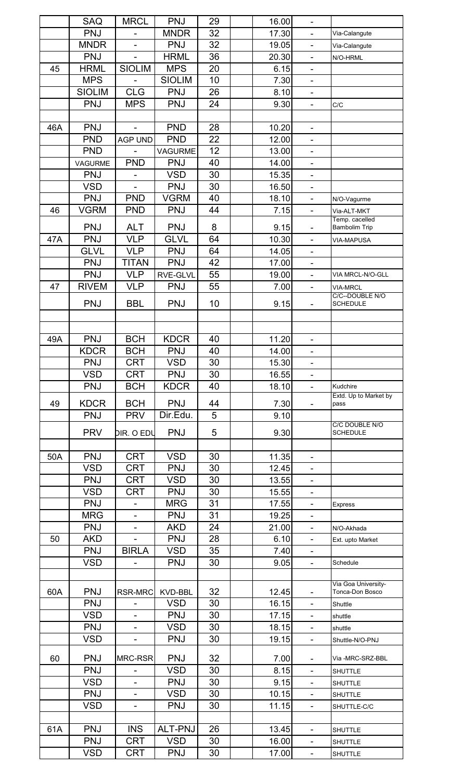|     | <b>SAQ</b>    | <b>MRCL</b>                  | <b>PNJ</b>      | 29 | 16.00 |                              |                               |
|-----|---------------|------------------------------|-----------------|----|-------|------------------------------|-------------------------------|
|     | <b>PNJ</b>    |                              | <b>MNDR</b>     | 32 | 17.30 |                              | Via-Calangute                 |
|     | <b>MNDR</b>   | $\overline{\phantom{a}}$     | <b>PNJ</b>      | 32 | 19.05 | $\blacksquare$               | Via-Calangute                 |
|     | <b>PNJ</b>    | $\blacksquare$               | <b>HRML</b>     | 36 | 20.30 | $\blacksquare$               | N/O-HRML                      |
| 45  | <b>HRML</b>   | <b>SIOLIM</b>                | <b>MPS</b>      | 20 | 6.15  | $\blacksquare$               |                               |
|     | <b>MPS</b>    |                              | <b>SIOLIM</b>   | 10 | 7.30  |                              |                               |
|     | <b>SIOLIM</b> | <b>CLG</b>                   | <b>PNJ</b>      | 26 | 8.10  | $\blacksquare$               |                               |
|     | <b>PNJ</b>    | <b>MPS</b>                   | <b>PNJ</b>      | 24 | 9.30  | $\blacksquare$               | C/C                           |
|     |               |                              |                 |    |       |                              |                               |
| 46A | <b>PNJ</b>    |                              | <b>PND</b>      | 28 | 10.20 | $\blacksquare$               |                               |
|     | <b>PND</b>    | <b>AGP UND</b>               | <b>PND</b>      | 22 | 12.00 | $\frac{1}{2}$                |                               |
|     | <b>PND</b>    |                              | <b>VAGURME</b>  | 12 | 13.00 |                              |                               |
|     | VAGURME       | <b>PND</b>                   | <b>PNJ</b>      | 40 | 14.00 | ۰                            |                               |
|     | <b>PNJ</b>    |                              | <b>VSD</b>      | 30 | 15.35 | $\blacksquare$               |                               |
|     | <b>VSD</b>    | $\overline{a}$               | <b>PNJ</b>      | 30 |       | $\blacksquare$               |                               |
|     |               |                              |                 |    | 16.50 |                              |                               |
|     | <b>PNJ</b>    | <b>PND</b>                   | <b>VGRM</b>     | 40 | 18.10 | $\blacksquare$               | N/O-Vagurme                   |
| 46  | <b>VGRM</b>   | <b>PND</b>                   | <b>PNJ</b>      | 44 | 7.15  | $\blacksquare$               | Via-ALT-MKT<br>Temp. cacelled |
|     | <b>PNJ</b>    | <b>ALT</b>                   | <b>PNJ</b>      | 8  | 9.15  | ۰                            | <b>Bambolim Trip</b>          |
| 47A | <b>PNJ</b>    | <b>VLP</b>                   | <b>GLVL</b>     | 64 | 10.30 | $\blacksquare$               | <b>VIA-MAPUSA</b>             |
|     | <b>GLVL</b>   | <b>VLP</b>                   | <b>PNJ</b>      | 64 | 14.05 | $\blacksquare$               |                               |
|     | <b>PNJ</b>    | <b>TITAN</b>                 | <b>PNJ</b>      | 42 | 17.00 | $\blacksquare$               |                               |
|     | <b>PNJ</b>    | <b>VLP</b>                   | <b>RVE-GLVL</b> | 55 | 19.00 |                              | VIA MRCL-N/O-GLL              |
| 47  | <b>RIVEM</b>  | <b>VLP</b>                   | <b>PNJ</b>      | 55 | 7.00  | ۰                            | <b>VIA-MRCL</b>               |
|     |               |                              |                 |    |       |                              | C/C--DOUBLE N/O               |
|     | <b>PNJ</b>    | <b>BBL</b>                   | <b>PNJ</b>      | 10 | 9.15  | $\qquad \qquad \blacksquare$ | <b>SCHEDULE</b>               |
|     |               |                              |                 |    |       |                              |                               |
|     |               |                              |                 |    |       |                              |                               |
| 49A | <b>PNJ</b>    | <b>BCH</b>                   | <b>KDCR</b>     | 40 | 11.20 |                              |                               |
|     | <b>KDCR</b>   | <b>BCH</b>                   | <b>PNJ</b>      | 40 | 14.00 | ۰                            |                               |
|     | <b>PNJ</b>    | <b>CRT</b>                   | <b>VSD</b>      | 30 | 15.30 |                              |                               |
|     | <b>VSD</b>    | <b>CRT</b>                   | <b>PNJ</b>      | 30 | 16.55 | $\blacksquare$               |                               |
|     | <b>PNJ</b>    | <b>BCH</b>                   | <b>KDCR</b>     | 40 | 18.10 | $\blacksquare$               | Kudchire                      |
|     | <b>KDCR</b>   | <b>BCH</b>                   | <b>PNJ</b>      | 44 |       |                              | Extd. Up to Market by<br>pass |
| 49  | <b>PNJ</b>    | <b>PRV</b>                   | Dir.Edu.        | 5  | 7.30  |                              |                               |
|     |               |                              |                 |    | 9.10  |                              | C/C DOUBLE N/O                |
|     | <b>PRV</b>    | DIR. O EDU                   | <b>PNJ</b>      | 5  | 9.30  |                              | <b>SCHEDULE</b>               |
|     |               |                              |                 |    |       |                              |                               |
| 50A | <b>PNJ</b>    | <b>CRT</b>                   | <b>VSD</b>      | 30 | 11.35 |                              |                               |
|     | <b>VSD</b>    | CRT                          | <b>PNJ</b>      | 30 | 12.45 | $\blacksquare$               |                               |
|     | <b>PNJ</b>    | <b>CRT</b>                   | <b>VSD</b>      | 30 | 13.55 |                              |                               |
|     | <b>VSD</b>    | <b>CRT</b>                   | <b>PNJ</b>      | 30 | 15.55 | $\blacksquare$               |                               |
|     | <b>PNJ</b>    |                              | <b>MRG</b>      | 31 | 17.55 | ۰                            | Express                       |
|     | <b>MRG</b>    | $\overline{\phantom{0}}$     | <b>PNJ</b>      | 31 | 19.25 | $\blacksquare$               |                               |
|     | <b>PNJ</b>    |                              | <b>AKD</b>      | 24 | 21.00 | $\overline{\phantom{0}}$     | N/O-Akhada                    |
| 50  | <b>AKD</b>    |                              | <b>PNJ</b>      | 28 | 6.10  | $\frac{1}{2}$                | Ext. upto Market              |
|     | PNJ           | <b>BIRLA</b>                 | <b>VSD</b>      | 35 | 7.40  | -                            |                               |
|     | <b>VSD</b>    |                              | <b>PNJ</b>      | 30 | 9.05  | $\blacksquare$               | Schedule                      |
|     |               |                              |                 |    |       |                              |                               |
|     |               |                              |                 |    |       |                              | Via Goa University-           |
| 60A | <b>PNJ</b>    | <b>RSR-MRC</b>               | KVD-BBL         | 32 | 12.45 |                              | Tonca-Don Bosco               |
|     | <b>PNJ</b>    | $\qquad \qquad \blacksquare$ | <b>VSD</b>      | 30 | 16.15 | $\blacksquare$               | Shuttle                       |
|     | <b>VSD</b>    | $\overline{\phantom{0}}$     | <b>PNJ</b>      | 30 | 17.15 | ۰                            | shuttle                       |
|     | <b>PNJ</b>    | $\overline{\phantom{a}}$     | <b>VSD</b>      | 30 | 18.15 | $\blacksquare$               | shuttle                       |
|     | <b>VSD</b>    |                              | <b>PNJ</b>      | 30 | 19.15 | ۰                            | Shuttle-N/O-PNJ               |
|     |               |                              |                 |    |       |                              |                               |
| 60  | <b>PNJ</b>    | MRC-RSR                      | <b>PNJ</b>      | 32 | 7.00  | $\blacksquare$               | Via -MRC-SRZ-BBL              |
|     | <b>PNJ</b>    |                              | <b>VSD</b>      | 30 | 8.15  | $\blacksquare$               | <b>SHUTTLE</b>                |
|     | <b>VSD</b>    | $\blacksquare$               | <b>PNJ</b>      | 30 | 9.15  | $\blacksquare$               | <b>SHUTTLE</b>                |
|     | <b>PNJ</b>    |                              | <b>VSD</b>      | 30 | 10.15 | $\overline{\phantom{0}}$     | <b>SHUTTLE</b>                |
|     | <b>VSD</b>    | $\overline{\phantom{0}}$     | <b>PNJ</b>      | 30 | 11.15 | $\blacksquare$               | SHUTTLE-C/C                   |
|     |               |                              |                 |    |       |                              |                               |
| 61A | <b>PNJ</b>    | <b>INS</b>                   | <b>ALT-PNJ</b>  | 26 | 13.45 | $\blacksquare$               | <b>SHUTTLE</b>                |
|     | <b>PNJ</b>    | <b>CRT</b>                   | <b>VSD</b>      | 30 | 16.00 | ۰                            | <b>SHUTTLE</b>                |
|     | <b>VSD</b>    | <b>CRT</b>                   | <b>PNJ</b>      | 30 | 17.00 | -                            | <b>SHUTTLE</b>                |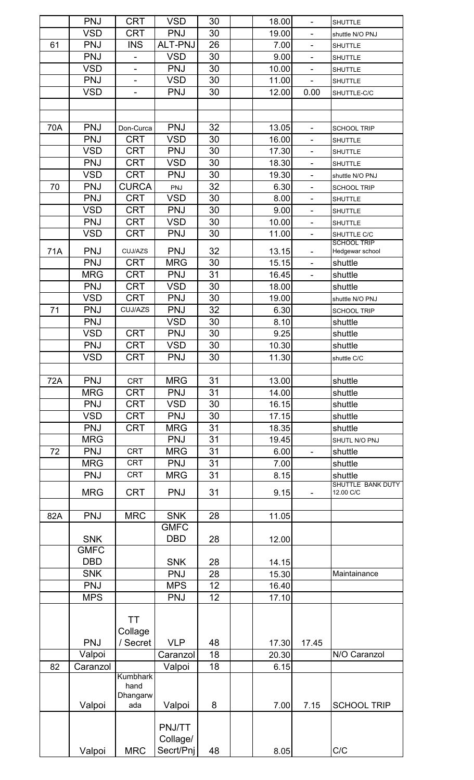|     | <b>PNJ</b>  | <b>CRT</b>               | <b>VSD</b>     | 30 | 18.00 | $\blacksquare$           | <b>SHUTTLE</b>                        |
|-----|-------------|--------------------------|----------------|----|-------|--------------------------|---------------------------------------|
|     | <b>VSD</b>  | <b>CRT</b>               | <b>PNJ</b>     | 30 | 19.00 | $\overline{\phantom{0}}$ | shuttle N/O PNJ                       |
| 61  | <b>PNJ</b>  | <b>INS</b>               | <b>ALT-PNJ</b> | 26 | 7.00  | $\frac{1}{2}$            | <b>SHUTTLE</b>                        |
|     | <b>PNJ</b>  |                          | <b>VSD</b>     | 30 | 9.00  | $\overline{\phantom{0}}$ | <b>SHUTTLE</b>                        |
|     | <b>VSD</b>  | $\overline{\phantom{0}}$ | <b>PNJ</b>     | 30 | 10.00 | $\blacksquare$           | <b>SHUTTLE</b>                        |
|     | <b>PNJ</b>  | $\overline{\phantom{0}}$ | <b>VSD</b>     | 30 | 11.00 |                          | <b>SHUTTLE</b>                        |
|     | <b>VSD</b>  | $\overline{\phantom{0}}$ | <b>PNJ</b>     | 30 | 12.00 | 0.00                     | SHUTTLE-C/C                           |
|     |             |                          |                |    |       |                          |                                       |
|     |             |                          |                |    |       |                          |                                       |
| 70A | <b>PNJ</b>  | Don-Curca                | <b>PNJ</b>     | 32 | 13.05 | ۰                        | <b>SCHOOL TRIP</b>                    |
|     | <b>PNJ</b>  | <b>CRT</b>               | <b>VSD</b>     | 30 | 16.00 | $\overline{\phantom{0}}$ | <b>SHUTTLE</b>                        |
|     | <b>VSD</b>  | <b>CRT</b>               | <b>PNJ</b>     | 30 | 17.30 | $\overline{\phantom{0}}$ | <b>SHUTTLE</b>                        |
|     | <b>PNJ</b>  | <b>CRT</b>               | <b>VSD</b>     | 30 | 18.30 | $\overline{\phantom{0}}$ | <b>SHUTTLE</b>                        |
|     | <b>VSD</b>  | <b>CRT</b>               | <b>PNJ</b>     | 30 | 19.30 | ۰                        | shuttle N/O PNJ                       |
| 70  | <b>PNJ</b>  | <b>CURCA</b>             | PNJ            | 32 | 6.30  | $\blacksquare$           | <b>SCHOOL TRIP</b>                    |
|     | <b>PNJ</b>  | <b>CRT</b>               | <b>VSD</b>     | 30 | 8.00  | $\frac{1}{2}$            | <b>SHUTTLE</b>                        |
|     | <b>VSD</b>  | <b>CRT</b>               | <b>PNJ</b>     | 30 | 9.00  | $\blacksquare$           | <b>SHUTTLE</b>                        |
|     | <b>PNJ</b>  | <b>CRT</b>               | <b>VSD</b>     | 30 | 10.00 | $\blacksquare$           | <b>SHUTTLE</b>                        |
|     | <b>VSD</b>  | <b>CRT</b>               | <b>PNJ</b>     | 30 | 11.00 | $\blacksquare$           | SHUTTLE C/C                           |
| 71A | <b>PNJ</b>  | CUJ/AZS                  | <b>PNJ</b>     | 32 | 13.15 |                          | <b>SCHOOL TRIP</b><br>Hedgewar school |
|     | <b>PNJ</b>  | <b>CRT</b>               | <b>MRG</b>     | 30 | 15.15 | $\frac{1}{2}$            | shuttle                               |
|     | <b>MRG</b>  | <b>CRT</b>               | <b>PNJ</b>     | 31 | 16.45 | $\blacksquare$           | shuttle                               |
|     | <b>PNJ</b>  | <b>CRT</b>               | <b>VSD</b>     | 30 | 18.00 |                          | shuttle                               |
|     | <b>VSD</b>  | <b>CRT</b>               | <b>PNJ</b>     | 30 | 19.00 |                          | shuttle N/O PNJ                       |
| 71  | <b>PNJ</b>  | CUJ/AZS                  | <b>PNJ</b>     | 32 | 6.30  |                          | <b>SCHOOL TRIP</b>                    |
|     | <b>PNJ</b>  |                          | <b>VSD</b>     | 30 | 8.10  |                          | shuttle                               |
|     | <b>VSD</b>  | <b>CRT</b>               | <b>PNJ</b>     | 30 | 9.25  |                          | shuttle                               |
|     | <b>PNJ</b>  | <b>CRT</b>               | <b>VSD</b>     | 30 | 10.30 |                          | shuttle                               |
|     | <b>VSD</b>  | <b>CRT</b>               | <b>PNJ</b>     | 30 | 11.30 |                          | shuttle C/C                           |
|     |             |                          |                |    |       |                          |                                       |
| 72A | <b>PNJ</b>  | <b>CRT</b>               | <b>MRG</b>     | 31 | 13.00 |                          | shuttle                               |
|     | <b>MRG</b>  | <b>CRT</b>               | <b>PNJ</b>     | 31 | 14.00 |                          | shuttle                               |
|     | <b>PNJ</b>  | <b>CRT</b>               | <b>VSD</b>     | 30 | 16.15 |                          | shuttle                               |
|     | <b>VSD</b>  | <b>CRT</b>               | <b>PNJ</b>     | 30 | 17.15 |                          | shuttle                               |
|     | <b>PNJ</b>  | <b>CRT</b>               | <b>MRG</b>     | 31 | 18.35 |                          | shuttle                               |
|     | <b>MRG</b>  |                          | <b>PNJ</b>     | 31 | 19.45 |                          | SHUTL N/O PNJ                         |
| 72  | <b>PNJ</b>  | <b>CRT</b>               | <b>MRG</b>     | 31 | 6.00  |                          | shuttle                               |
|     | <b>MRG</b>  | <b>CRT</b>               | <b>PNJ</b>     | 31 | 7.00  |                          | shuttle                               |
|     | <b>PNJ</b>  | <b>CRT</b>               | <b>MRG</b>     | 31 | 8.15  |                          | shuttle                               |
|     | <b>MRG</b>  | <b>CRT</b>               | <b>PNJ</b>     | 31 |       |                          | SHUTTLE BANK DUTY<br>12.00 C/C        |
|     |             |                          |                |    | 9.15  |                          |                                       |
| 82A | <b>PNJ</b>  | <b>MRC</b>               | <b>SNK</b>     | 28 | 11.05 |                          |                                       |
|     |             |                          | <b>GMFC</b>    |    |       |                          |                                       |
|     | <b>SNK</b>  |                          | <b>DBD</b>     | 28 | 12.00 |                          |                                       |
|     | <b>GMFC</b> |                          |                |    |       |                          |                                       |
|     | <b>DBD</b>  |                          | <b>SNK</b>     | 28 | 14.15 |                          |                                       |
|     | <b>SNK</b>  |                          | <b>PNJ</b>     | 28 | 15.30 |                          | Maintainance                          |
|     | <b>PNJ</b>  |                          | <b>MPS</b>     | 12 | 16.40 |                          |                                       |
|     | <b>MPS</b>  |                          | <b>PNJ</b>     | 12 | 17.10 |                          |                                       |
|     |             |                          |                |    |       |                          |                                       |
|     |             | <b>TT</b>                |                |    |       |                          |                                       |
|     |             | Collage                  |                |    |       |                          |                                       |
|     | <b>PNJ</b>  | / Secret                 | <b>VLP</b>     | 48 | 17.30 | 17.45                    |                                       |
|     | Valpoi      |                          | Caranzol       | 18 | 20.30 |                          | N/O Caranzol                          |
| 82  | Caranzol    |                          | Valpoi         | 18 | 6.15  |                          |                                       |
|     |             | Kumbhark<br>hand         |                |    |       |                          |                                       |
|     |             | Dhangarw                 |                |    |       |                          |                                       |
|     | Valpoi      | ada                      | Valpoi         | 8  | 7.00  | 7.15                     | <b>SCHOOL TRIP</b>                    |
|     |             |                          |                |    |       |                          |                                       |
|     |             |                          | PNJ/TT         |    |       |                          |                                       |
|     |             |                          | Collage/       |    |       |                          |                                       |
|     | Valpoi      | <b>MRC</b>               | Secrt/Pnj      | 48 | 8.05  |                          | C/C                                   |